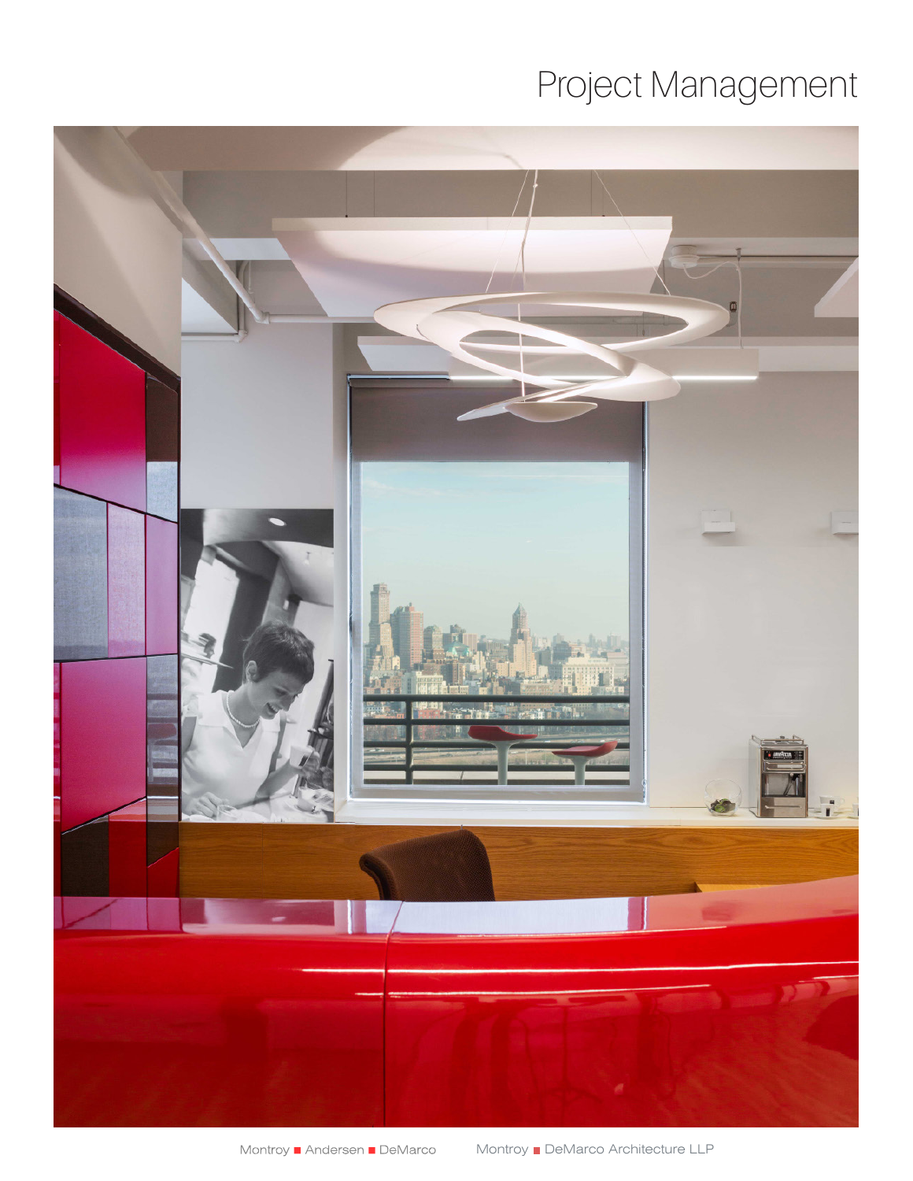## Project Management

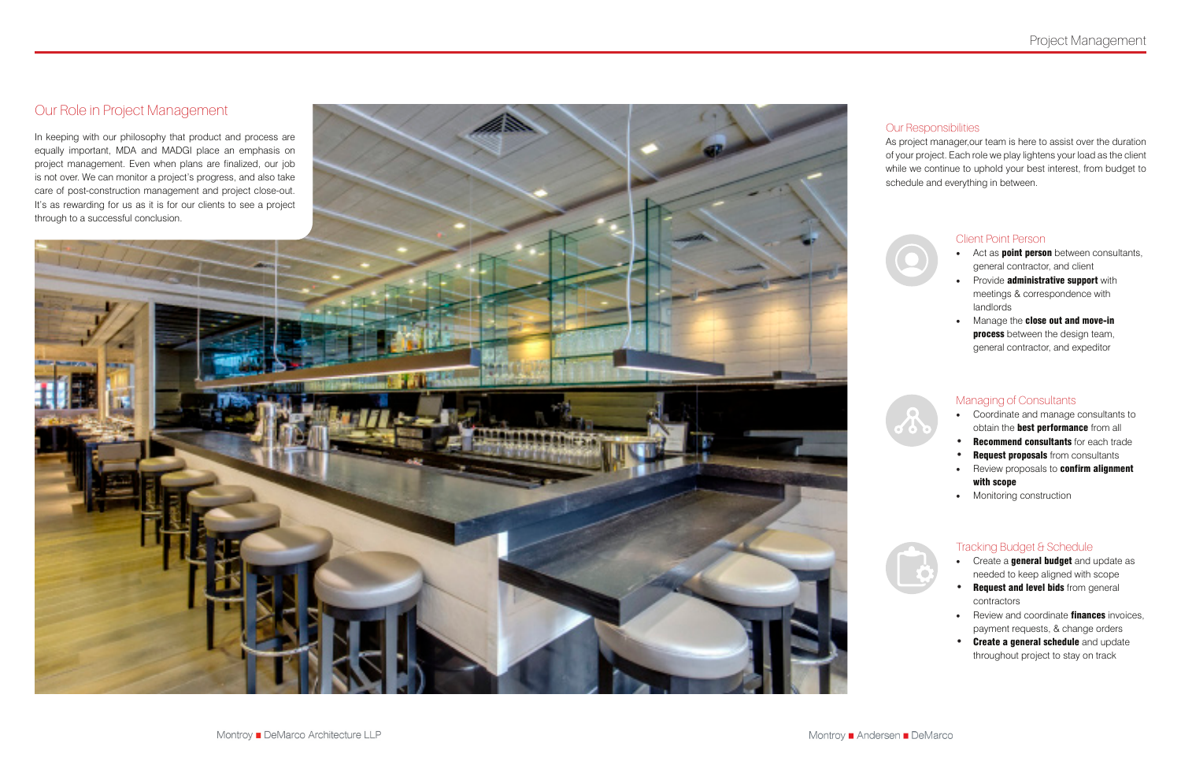### Our Role in Project Management

In keeping with our philosophy that product and process are equally important, MDA and MADGI place an emphasis on project management. Even when plans are finalized, our job is not over. We can monitor a project's progress, and also take care of post-construction management and project close-out. It's as rewarding for us as it is for our clients to see a project through to a successful conclusion.



#### Our Responsibilities

- Act as **point person** between consultants, general contractor, and client
- Provide administrative support with meetings & correspondence with landlords
- Manage the close out and move-in process between the design team, general contractor, and expeditor



As project manager,our team is here to assist over the duration of your project. Each role we play lightens your load as the client while we continue to uphold your best interest, from budget to schedule and everything in between.



#### Client Point Person

- Create a **general budget** and update as needed to keep aligned with scope
- Request and level bids from general contractors
- Review and coordinate **finances** invoices, payment requests, & change orders
- Create a general schedule and update throughout project to stay on track

#### Managing of Consultants

- Coordinate and manage consultants to obtain the **best performance** from all
- **Recommend consultants** for each trade
- Request proposals from consultants
- Review proposals to confirm alignment with scope
- Monitoring construction



#### Tracking Budget & Schedule